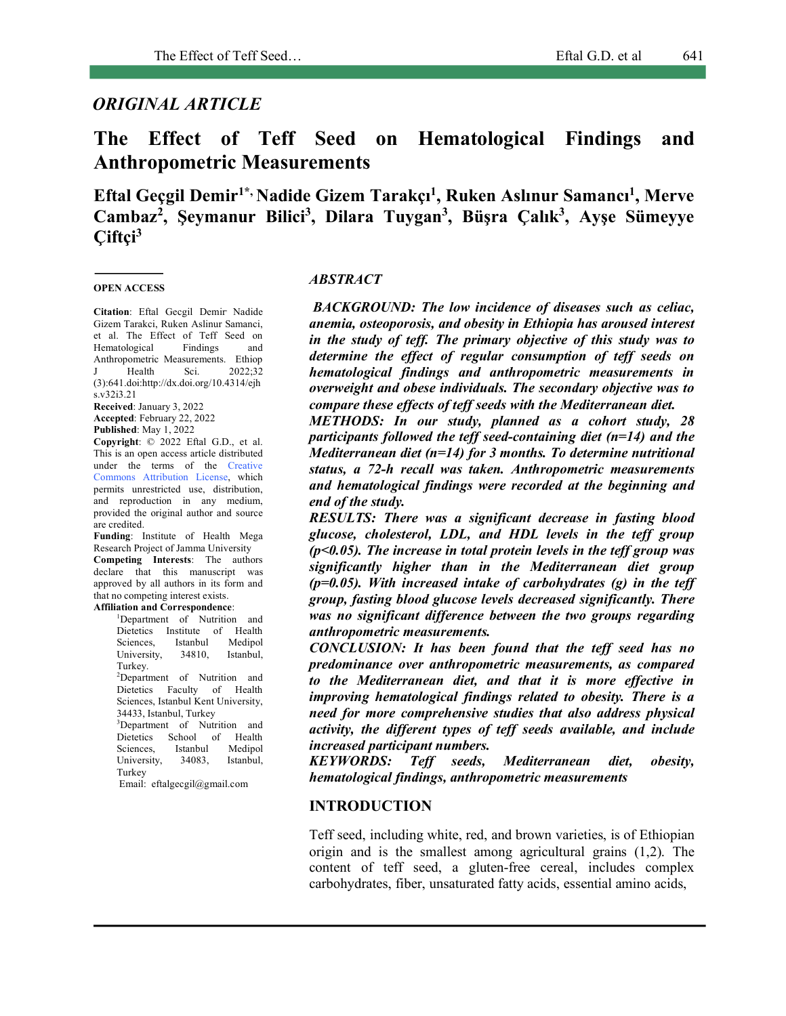# *ORIGINAL ARTICLE*

# **The Effect of Teff Seed on Hematological Findings and Anthropometric Measurements**

**Eftal Geçgil Demir1\*, Nadide Gizem Tarakçı1 , Ruken Aslınur Samancı1 , Merve Cambaz2 , Şeymanur Bilici3 , Dilara Tuygan3 , Büşra Çalık3 , Ayşe Sümeyye Çiftçi3**

#### **OPEN ACCESS**

**Citation**: Eftal Gecgil Demir, Nadide Gizem Tarakci, Ruken Aslinur Samanci, et al. The Effect of Teff Seed on Hematological Findings and Anthropometric Measurements. Ethiop J Health Sci. 2022;32 (3):641.doi:http://dx.doi.org/10.4314/ejh s.v32i3.21

**Received**: January 3, 2022 **Accepted**: February 22, 2022 **Published**: May 1, 2022

**Copyright**: © 2022 Eftal G.D., et al. This is an open access article distributed under the terms of the Creative Commons Attribution License, which permits unrestricted use, distribution, and reproduction in any medium, provided the original author and source are credited.

**Funding**: Institute of Health Mega Research Project of Jamma University **Competing Interests**: The authors declare that this manuscript was approved by all authors in its form and that no competing interest exists.

**Affiliation and Correspondence**: 1 Department of Nutrition and Dietetics Institute of Health Sciences, Istanbul Medipol University, 34810, Istanbul, Turkey. 2 Department of Nutrition and Dietetics Faculty of Health Sciences, Istanbul Kent University, 34433, Istanbul, Turkey 3 Department of Nutrition and Dietetics School of Health Sciences, Istanbul Medipol

University, 34083, Istanbul, Turkey Email: eftalgecgil@gmail.com

#### *ABSTRACT*

*BACKGROUND: The low incidence of diseases such as celiac, anemia, osteoporosis, and obesity in Ethiopia has aroused interest in the study of teff. The primary objective of this study was to determine the effect of regular consumption of teff seeds on hematological findings and anthropometric measurements in overweight and obese individuals. The secondary objective was to compare these effects of teff seeds with the Mediterranean diet.* 

*METHODS: In our study, planned as a cohort study, 28 participants followed the teff seed-containing diet (n=14) and the Mediterranean diet (n=14) for 3 months. To determine nutritional status, a 72-h recall was taken. Anthropometric measurements and hematological findings were recorded at the beginning and end of the study.* 

*RESULTS: There was a significant decrease in fasting blood glucose, cholesterol, LDL, and HDL levels in the teff group (p<0.05). The increase in total protein levels in the teff group was significantly higher than in the Mediterranean diet group (p=0.05). With increased intake of carbohydrates (g) in the teff group, fasting blood glucose levels decreased significantly. There was no significant difference between the two groups regarding anthropometric measurements.* 

*CONCLUSION: It has been found that the teff seed has no predominance over anthropometric measurements, as compared to the Mediterranean diet, and that it is more effective in improving hematological findings related to obesity. There is a need for more comprehensive studies that also address physical activity, the different types of teff seeds available, and include increased participant numbers.*

*KEYWORDS: Teff seeds, Mediterranean diet, obesity, hematological findings, anthropometric measurements*

#### **INTRODUCTION**

Teff seed, including white, red, and brown varieties, is of Ethiopian origin and is the smallest among agricultural grains (1,2). The content of teff seed, a gluten-free cereal, includes complex carbohydrates, fiber, unsaturated fatty acids, essential amino acids,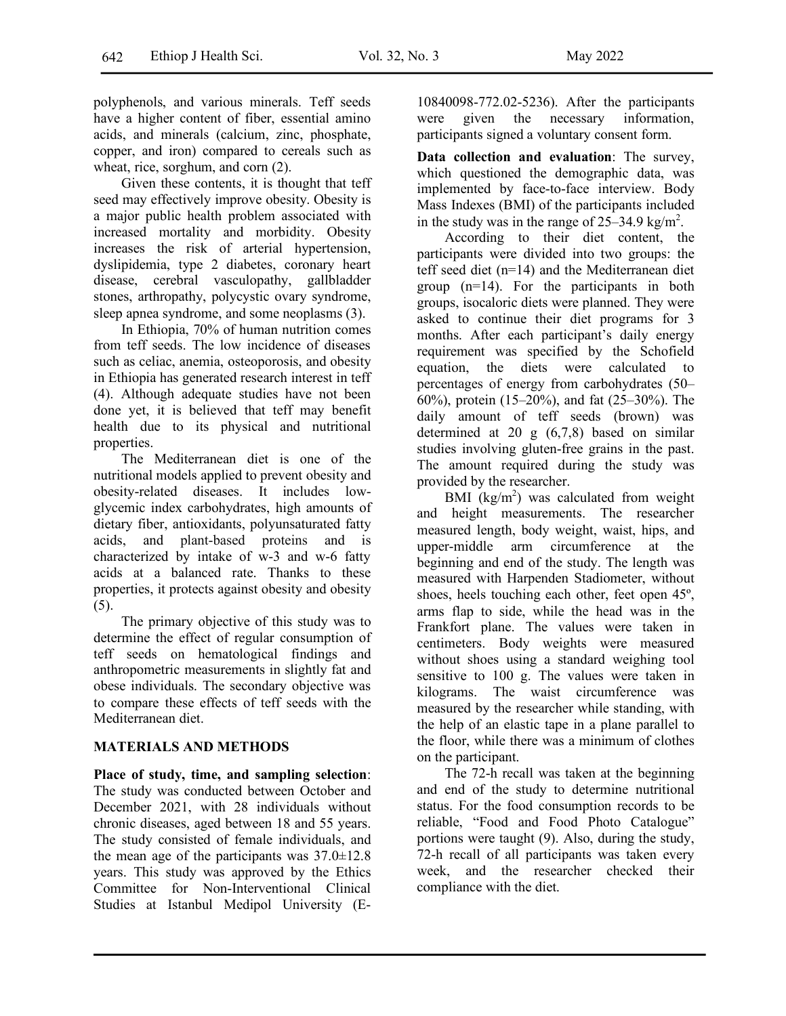polyphenols, and various minerals. Teff seeds have a higher content of fiber, essential amino acids, and minerals (calcium, zinc, phosphate, copper, and iron) compared to cereals such as wheat, rice, sorghum, and corn (2).

Given these contents, it is thought that teff seed may effectively improve obesity. Obesity is a major public health problem associated with increased mortality and morbidity. Obesity increases the risk of arterial hypertension, dyslipidemia, type 2 diabetes, coronary heart disease, cerebral vasculopathy, gallbladder stones, arthropathy, polycystic ovary syndrome, sleep apnea syndrome, and some neoplasms (3).

In Ethiopia, 70% of human nutrition comes from teff seeds. The low incidence of diseases such as celiac, anemia, osteoporosis, and obesity in Ethiopia has generated research interest in teff (4). Although adequate studies have not been done yet, it is believed that teff may benefit health due to its physical and nutritional properties.

The Mediterranean diet is one of the nutritional models applied to prevent obesity and obesity-related diseases. It includes lowglycemic index carbohydrates, high amounts of dietary fiber, antioxidants, polyunsaturated fatty acids, and plant-based proteins and is characterized by intake of w-3 and w-6 fatty acids at a balanced rate. Thanks to these properties, it protects against obesity and obesity (5).

The primary objective of this study was to determine the effect of regular consumption of teff seeds on hematological findings and anthropometric measurements in slightly fat and obese individuals. The secondary objective was to compare these effects of teff seeds with the Mediterranean diet.

## **MATERIALS AND METHODS**

**Place of study, time, and sampling selection**: The study was conducted between October and December 2021, with 28 individuals without chronic diseases, aged between 18 and 55 years. The study consisted of female individuals, and the mean age of the participants was  $37.0 \pm 12.8$ years. This study was approved by the Ethics Committee for Non-Interventional Clinical Studies at Istanbul Medipol University (E-

10840098-772.02-5236). After the participants were given the necessary information, participants signed a voluntary consent form.

**Data collection and evaluation**: The survey, which questioned the demographic data, was implemented by face-to-face interview. Body Mass Indexes (BMI) of the participants included in the study was in the range of  $25-34.9$  kg/m<sup>2</sup>.

According to their diet content, the participants were divided into two groups: the teff seed diet (n=14) and the Mediterranean diet group (n=14). For the participants in both groups, isocaloric diets were planned. They were asked to continue their diet programs for 3 months. After each participant's daily energy requirement was specified by the Schofield equation, the diets were calculated to percentages of energy from carbohydrates (50– 60%), protein (15–20%), and fat (25–30%). The daily amount of teff seeds (brown) was determined at 20 g (6,7,8) based on similar studies involving gluten-free grains in the past. The amount required during the study was provided by the researcher.

BMI  $(kg/m<sup>2</sup>)$  was calculated from weight and height measurements. The researcher measured length, body weight, waist, hips, and upper-middle arm circumference at the beginning and end of the study. The length was measured with Harpenden Stadiometer, without shoes, heels touching each other, feet open 45º, arms flap to side, while the head was in the Frankfort plane. The values were taken in centimeters. Body weights were measured without shoes using a standard weighing tool sensitive to 100 g. The values were taken in kilograms. The waist circumference was measured by the researcher while standing, with the help of an elastic tape in a plane parallel to the floor, while there was a minimum of clothes on the participant.

The 72-h recall was taken at the beginning and end of the study to determine nutritional status. For the food consumption records to be reliable, "Food and Food Photo Catalogue" portions were taught (9). Also, during the study, 72-h recall of all participants was taken every week, and the researcher checked their compliance with the diet.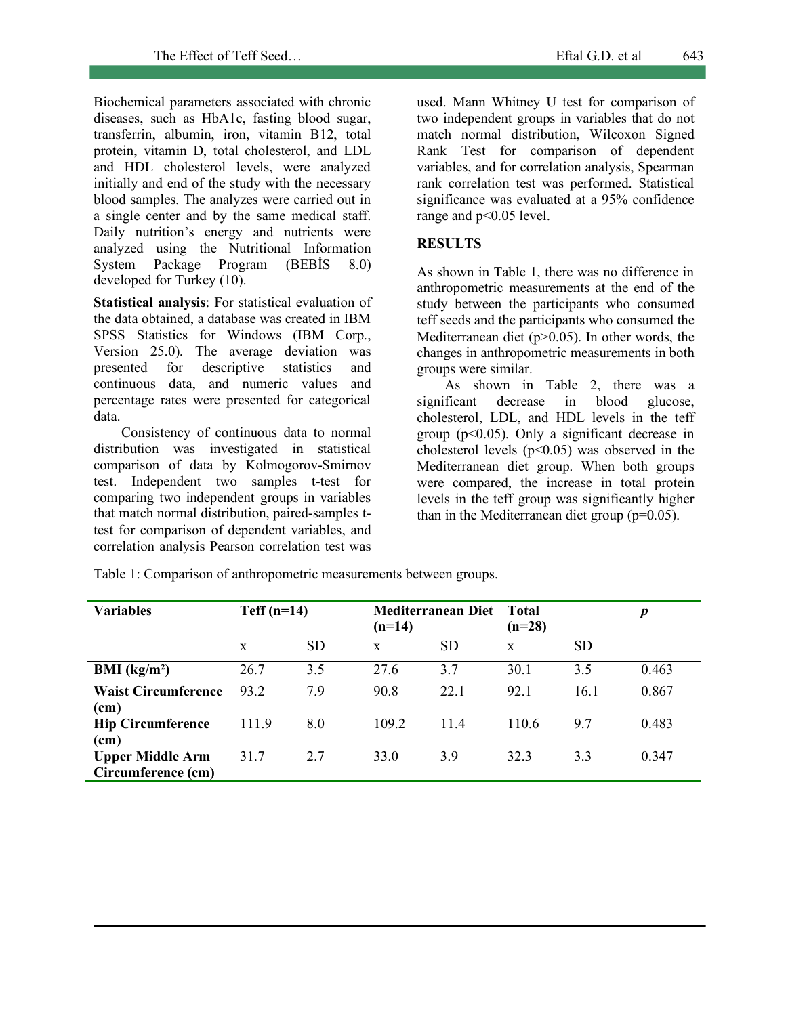Biochemical parameters associated with chronic diseases, such as HbA1c, fasting blood sugar, transferrin, albumin, iron, vitamin B12, total protein, vitamin D, total cholesterol, and LDL and HDL cholesterol levels, were analyzed initially and end of the study with the necessary blood samples. The analyzes were carried out in a single center and by the same medical staff. Daily nutrition's energy and nutrients were analyzed using the Nutritional Information System Package Program (BEBİS 8.0) developed for Turkey (10).

**Statistical analysis**: For statistical evaluation of the data obtained, a database was created in IBM SPSS Statistics for Windows (IBM Corp., Version 25.0). The average deviation was presented for descriptive statistics and continuous data, and numeric values and percentage rates were presented for categorical data.

Consistency of continuous data to normal distribution was investigated in statistical comparison of data by Kolmogorov-Smirnov test. Independent two samples t-test for comparing two independent groups in variables that match normal distribution, paired-samples ttest for comparison of dependent variables, and correlation analysis Pearson correlation test was used. Mann Whitney U test for comparison of two independent groups in variables that do not match normal distribution, Wilcoxon Signed Rank Test for comparison of dependent variables, and for correlation analysis, Spearman rank correlation test was performed. Statistical significance was evaluated at a 95% confidence range and  $p<0.05$  level.

## **RESULTS**

As shown in Table 1, there was no difference in anthropometric measurements at the end of the study between the participants who consumed teff seeds and the participants who consumed the Mediterranean diet  $(p>0.05)$ . In other words, the changes in anthropometric measurements in both groups were similar.

As shown in Table 2, there was a significant decrease in blood glucose, cholesterol, LDL, and HDL levels in the teff group  $(p<0.05)$ . Only a significant decrease in cholesterol levels  $(p<0.05)$  was observed in the Mediterranean diet group. When both groups were compared, the increase in total protein levels in the teff group was significantly higher than in the Mediterranean diet group (p=0.05).

| <b>Variables</b>                              | $Teff(n=14)$<br>$(n=14)$ |           | <b>Mediterranean Diet</b><br>Total | $\boldsymbol{p}$ |       |           |       |
|-----------------------------------------------|--------------------------|-----------|------------------------------------|------------------|-------|-----------|-------|
|                                               | X                        | <b>SD</b> | $\mathbf x$                        | <b>SD</b>        | X     | <b>SD</b> |       |
| <b>BMI</b> ( $kg/m2$ )                        | 26.7                     | 3.5       | 27.6                               | 3.7              | 30.1  | 3.5       | 0.463 |
| <b>Waist Circumference</b><br>(cm)            | 93.2                     | 7.9       | 90.8                               | 22.1             | 92 1  | 16.1      | 0.867 |
| <b>Hip Circumference</b><br>(cm)              | 111.9                    | 8.0       | 109.2                              | 114              | 110.6 | 9.7       | 0.483 |
| <b>Upper Middle Arm</b><br>Circumference (cm) | 31.7                     | 2.7       | 33.0                               | 3.9              | 323   | 3.3       | 0.347 |

Table 1: Comparison of anthropometric measurements between groups.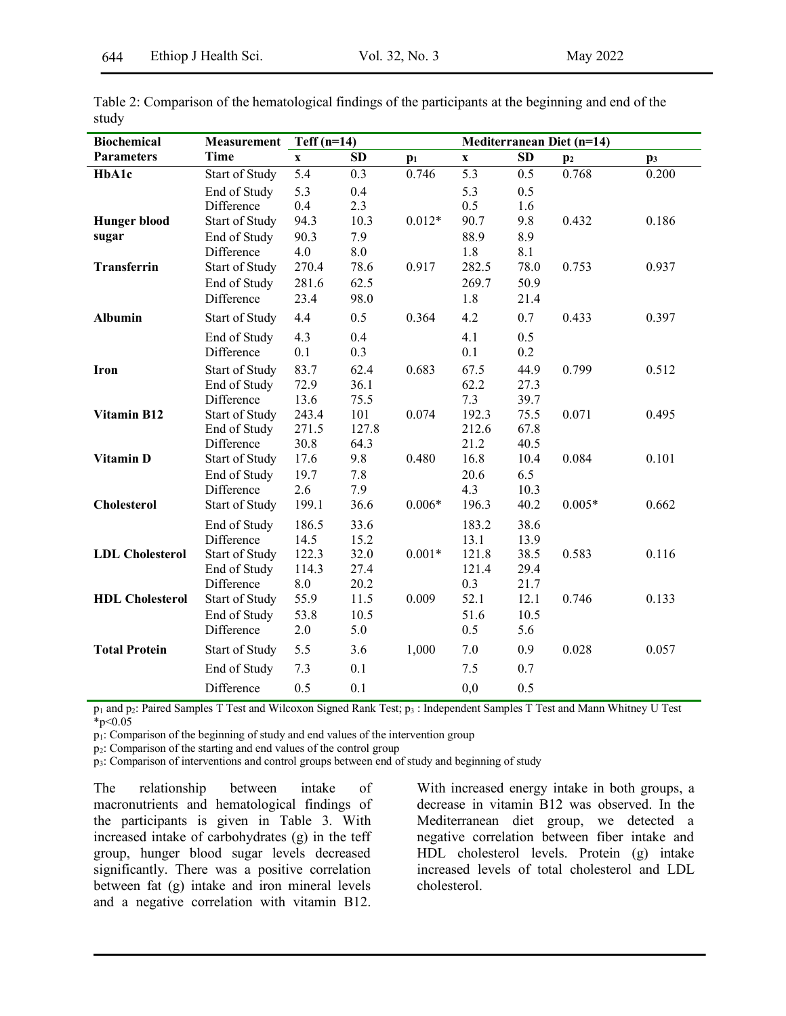| <b>Biochemical</b>     | Measurement           | Teff $(n=14)$    |                    |          | Mediterranean Diet (n=14) |           |                |                |
|------------------------|-----------------------|------------------|--------------------|----------|---------------------------|-----------|----------------|----------------|
| <b>Parameters</b>      | <b>Time</b>           | $\mathbf X$      | SD                 | $p_1$    | $\mathbf x$               | <b>SD</b> | $\mathbf{p}_2$ | $\mathbf{p}_3$ |
| HbA1c                  | <b>Start of Study</b> | $\overline{5.4}$ | 0.3                | 0.746    | 5.3                       | 0.5       | 0.768          | 0.200          |
|                        | End of Study          | 5.3              | 0.4                |          | 5.3                       | 0.5       |                |                |
|                        | Difference            | 0.4              | 2.3                |          | 0.5                       | 1.6       |                |                |
| <b>Hunger blood</b>    | Start of Study        | 94.3             | 10.3               | $0.012*$ | 90.7                      | 9.8       | 0.432          | 0.186          |
| sugar                  | End of Study          | 90.3             | 7.9                |          | 88.9                      | 8.9       |                |                |
|                        | Difference            | 4.0              | $\boldsymbol{8.0}$ |          | 1.8                       | 8.1       |                |                |
| <b>Transferrin</b>     | Start of Study        | 270.4            | 78.6               | 0.917    | 282.5                     | 78.0      | 0.753          | 0.937          |
|                        | End of Study          | 281.6            | 62.5               |          | 269.7                     | 50.9      |                |                |
|                        | Difference            | 23.4             | 98.0               |          | 1.8                       | 21.4      |                |                |
| <b>Albumin</b>         | Start of Study        | 4.4              | 0.5                | 0.364    | 4.2                       | 0.7       | 0.433          | 0.397          |
|                        | End of Study          | 4.3              | 0.4                |          | 4.1                       | 0.5       |                |                |
|                        | Difference            | 0.1              | 0.3                |          | 0.1                       | 0.2       |                |                |
| Iron                   | <b>Start of Study</b> | 83.7             | 62.4               | 0.683    | 67.5                      | 44.9      | 0.799          | 0.512          |
|                        | End of Study          | 72.9             | 36.1               |          | 62.2                      | 27.3      |                |                |
|                        | Difference            | 13.6             | 75.5               |          | 7.3                       | 39.7      |                |                |
| Vitamin B12            | <b>Start of Study</b> | 243.4            | 101                | 0.074    | 192.3                     | 75.5      | 0.071          | 0.495          |
|                        | End of Study          | 271.5            | 127.8              |          | 212.6                     | 67.8      |                |                |
|                        | Difference            | 30.8             | 64.3               |          | 21.2                      | 40.5      |                |                |
| Vitamin D              | Start of Study        | 17.6             | 9.8                | 0.480    | 16.8                      | 10.4      | 0.084          | 0.101          |
|                        | End of Study          | 19.7             | 7.8                |          | 20.6                      | 6.5       |                |                |
|                        | Difference            | 2.6              | 7.9                |          | 4.3                       | 10.3      |                |                |
| <b>Cholesterol</b>     | <b>Start of Study</b> | 199.1            | 36.6               | $0.006*$ | 196.3                     | 40.2      | $0.005*$       | 0.662          |
|                        | End of Study          | 186.5            | 33.6               |          | 183.2                     | 38.6      |                |                |
|                        | Difference            | 14.5             | 15.2               |          | 13.1                      | 13.9      |                |                |
| <b>LDL</b> Cholesterol | <b>Start of Study</b> | 122.3            | 32.0               | $0.001*$ | 121.8                     | 38.5      | 0.583          | 0.116          |
|                        | End of Study          | 114.3            | 27.4               |          | 121.4                     | 29.4      |                |                |
|                        | Difference            | $8.0\,$          | 20.2               |          | 0.3                       | 21.7      |                |                |
| <b>HDL</b> Cholesterol | Start of Study        | 55.9             | 11.5               | 0.009    | 52.1                      | 12.1      | 0.746          | 0.133          |
|                        | End of Study          | 53.8             | 10.5               |          | 51.6                      | 10.5      |                |                |
|                        | Difference            | 2.0              | 5.0                |          | 0.5                       | 5.6       |                |                |
| <b>Total Protein</b>   | <b>Start of Study</b> | 5.5              | 3.6                | 1,000    | 7.0                       | 0.9       | 0.028          | 0.057          |
|                        | End of Study          | 7.3              | 0.1                |          | 7.5                       | 0.7       |                |                |
|                        | Difference            | 0.5              | 0.1                |          | 0,0                       | 0.5       |                |                |

Table 2: Comparison of the hematological findings of the participants at the beginning and end of the study

p1 and p2: Paired Samples T Test and Wilcoxon Signed Rank Test; p3 : Independent Samples T Test and Mann Whitney U Test  $*_{p<0.05}$ 

 $p_1$ : Comparison of the beginning of study and end values of the intervention group

p2: Comparison of the starting and end values of the control group

p3: Comparison of interventions and control groups between end of study and beginning of study

The relationship between intake of macronutrients and hematological findings of the participants is given in Table 3. With increased intake of carbohydrates (g) in the teff group, hunger blood sugar levels decreased significantly. There was a positive correlation between fat (g) intake and iron mineral levels and a negative correlation with vitamin B12. With increased energy intake in both groups, a decrease in vitamin B12 was observed. In the Mediterranean diet group, we detected a negative correlation between fiber intake and HDL cholesterol levels. Protein (g) intake increased levels of total cholesterol and LDL cholesterol.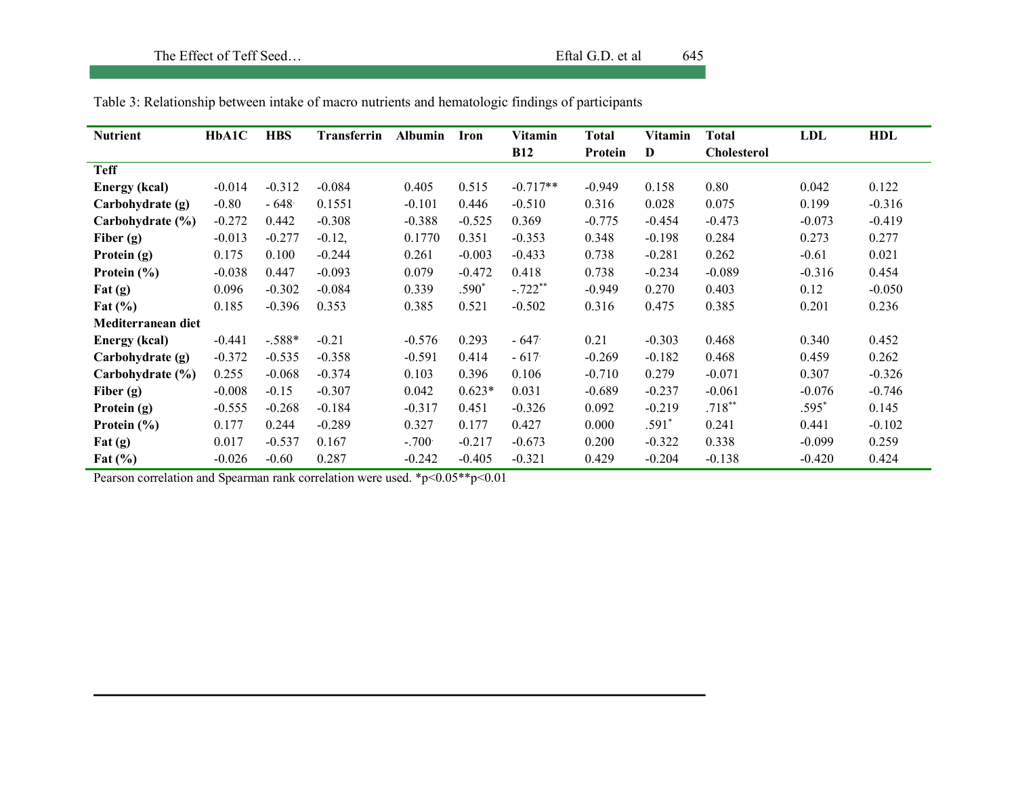| <b>Nutrient</b>                   | HbA1C    | <b>HBS</b> | <b>Transferrin</b> | <b>Albumin</b> | Iron     | Vitamin    | <b>Total</b> | Vitamin  | <b>Total</b>       | LDL      | <b>HDL</b> |
|-----------------------------------|----------|------------|--------------------|----------------|----------|------------|--------------|----------|--------------------|----------|------------|
|                                   |          |            |                    |                |          | <b>B12</b> | Protein      | D        | <b>Cholesterol</b> |          |            |
| <b>Teff</b>                       |          |            |                    |                |          |            |              |          |                    |          |            |
| <b>Energy (kcal)</b>              | $-0.014$ | $-0.312$   | $-0.084$           | 0.405          | 0.515    | $-0.717**$ | $-0.949$     | 0.158    | 0.80               | 0.042    | 0.122      |
| Carbohydrate (g)                  | $-0.80$  | $-648$     | 0.1551             | $-0.101$       | 0.446    | $-0.510$   | 0.316        | 0.028    | 0.075              | 0.199    | $-0.316$   |
| Carbohydrate (%)                  | $-0.272$ | 0.442      | $-0.308$           | $-0.388$       | $-0.525$ | 0.369      | $-0.775$     | $-0.454$ | $-0.473$           | $-0.073$ | $-0.419$   |
| Fiber $(g)$                       | $-0.013$ | $-0.277$   | $-0.12,$           | 0.1770         | 0.351    | $-0.353$   | 0.348        | $-0.198$ | 0.284              | 0.273    | 0.277      |
| Protein (g)                       | 0.175    | 0.100      | $-0.244$           | 0.261          | $-0.003$ | $-0.433$   | 0.738        | $-0.281$ | 0.262              | $-0.61$  | 0.021      |
| Protein $(\% )$                   | $-0.038$ | 0.447      | $-0.093$           | 0.079          | $-0.472$ | 0.418      | 0.738        | $-0.234$ | $-0.089$           | $-0.316$ | 0.454      |
| $\text{Fat}\left(\text{g}\right)$ | 0.096    | $-0.302$   | $-0.084$           | 0.339          | .590 $*$ | $-.722**$  | $-0.949$     | 0.270    | 0.403              | 0.12     | $-0.050$   |
| Fat $(\% )$                       | 0.185    | $-0.396$   | 0.353              | 0.385          | 0.521    | $-0.502$   | 0.316        | 0.475    | 0.385              | 0.201    | 0.236      |
| Mediterranean diet                |          |            |                    |                |          |            |              |          |                    |          |            |
| <b>Energy</b> (kcal)              | $-0.441$ | $-.588*$   | $-0.21$            | $-0.576$       | 0.293    | $-647$     | 0.21         | $-0.303$ | 0.468              | 0.340    | 0.452      |
| Carbohydrate (g)                  | $-0.372$ | $-0.535$   | $-0.358$           | $-0.591$       | 0.414    | $-617$     | $-0.269$     | $-0.182$ | 0.468              | 0.459    | 0.262      |
| Carbohydrate (%)                  | 0.255    | $-0.068$   | $-0.374$           | 0.103          | 0.396    | 0.106      | $-0.710$     | 0.279    | $-0.071$           | 0.307    | $-0.326$   |
| Fiber $(g)$                       | $-0.008$ | $-0.15$    | $-0.307$           | 0.042          | $0.623*$ | 0.031      | $-0.689$     | $-0.237$ | $-0.061$           | $-0.076$ | $-0.746$   |
| Protein (g)                       | $-0.555$ | $-0.268$   | $-0.184$           | $-0.317$       | 0.451    | $-0.326$   | 0.092        | $-0.219$ | $.718**$           | .595*    | 0.145      |
| Protein $(\% )$                   | 0.177    | 0.244      | $-0.289$           | 0.327          | 0.177    | 0.427      | 0.000        | $.591*$  | 0.241              | 0.441    | $-0.102$   |
| $\text{Fat}\left(\text{g}\right)$ | 0.017    | $-0.537$   | 0.167              | $-.7001$       | $-0.217$ | $-0.673$   | 0.200        | $-0.322$ | 0.338              | $-0.099$ | 0.259      |
| Fat $(\% )$                       | $-0.026$ | $-0.60$    | 0.287              | $-0.242$       | $-0.405$ | $-0.321$   | 0.429        | $-0.204$ | $-0.138$           | $-0.420$ | 0.424      |

Table 3: Relationship between intake of macro nutrients and hematologic findings of participants

Pearson correlation and Spearman rank correlation were used. \*p<0.05\*\*p<0.01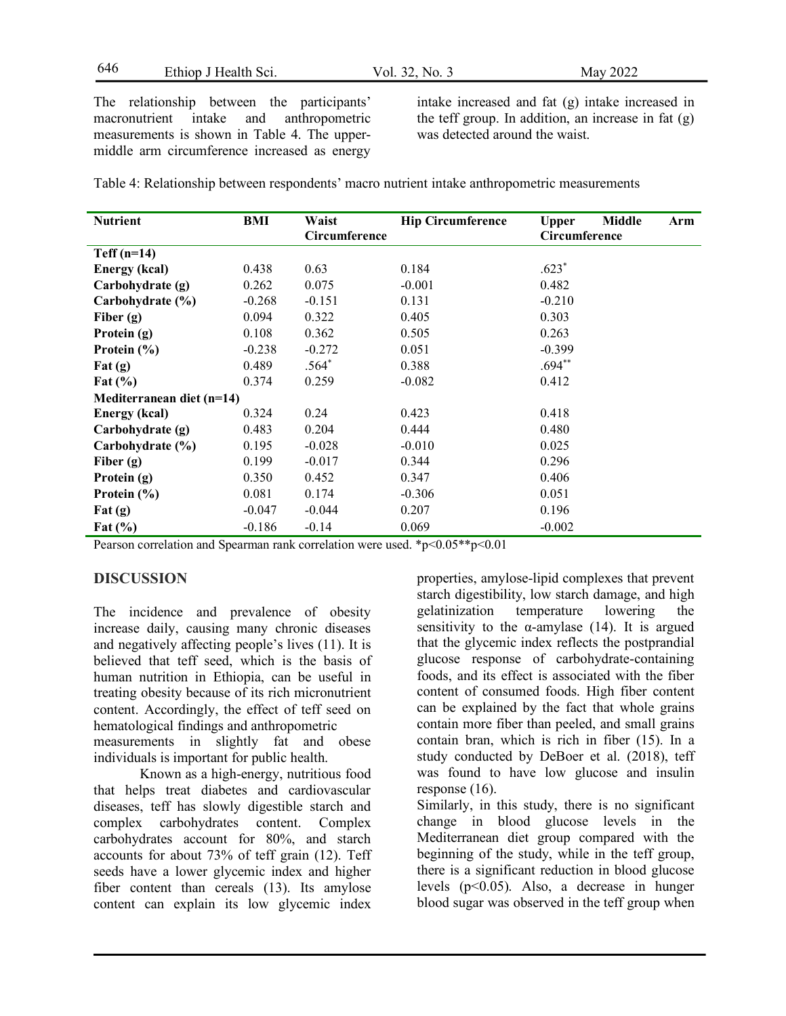646 Ethiop J Health Sci. Vol. 32, No. 3 May 2022

The relationship between the participants' macronutrient intake and anthropometric measurements is shown in Table 4. The uppermiddle arm circumference increased as energy intake increased and fat (g) intake increased in the teff group. In addition, an increase in fat (g) was detected around the waist.

Table 4: Relationship between respondents' macro nutrient intake anthropometric measurements

| <b>Nutrient</b>                   | BMI      | Waist<br>Circumference | <b>Hip Circumference</b> | Middle<br><b>Upper</b><br>Arm<br>Circumference |
|-----------------------------------|----------|------------------------|--------------------------|------------------------------------------------|
| $Teff(n=14)$                      |          |                        |                          |                                                |
| <b>Energy (kcal)</b>              | 0.438    | 0.63                   | 0.184                    | $.623*$                                        |
| Carbohydrate (g)                  | 0.262    | 0.075                  | $-0.001$                 | 0.482                                          |
| Carbohydrate (%)                  | $-0.268$ | $-0.151$               | 0.131                    | $-0.210$                                       |
| Fiber $(g)$                       | 0.094    | 0.322                  | 0.405                    | 0.303                                          |
| Protein (g)                       | 0.108    | 0.362                  | 0.505                    | 0.263                                          |
| Protein $(\% )$                   | $-0.238$ | $-0.272$               | 0.051                    | $-0.399$                                       |
| $\mathbf{Fat}(\mathbf{g})$        | 0.489    | $.564*$                | 0.388                    | $.694**$                                       |
| Fat $(\% )$                       | 0.374    | 0.259                  | $-0.082$                 | 0.412                                          |
| Mediterranean diet $(n=14)$       |          |                        |                          |                                                |
| <b>Energy (kcal)</b>              | 0.324    | 0.24                   | 0.423                    | 0.418                                          |
| Carbohydrate (g)                  | 0.483    | 0.204                  | 0.444                    | 0.480                                          |
| Carbohydrate (%)                  | 0.195    | $-0.028$               | $-0.010$                 | 0.025                                          |
| Fiber $(g)$                       | 0.199    | $-0.017$               | 0.344                    | 0.296                                          |
| Protein (g)                       | 0.350    | 0.452                  | 0.347                    | 0.406                                          |
| Protein $(\% )$                   | 0.081    | 0.174                  | $-0.306$                 | 0.051                                          |
| $\text{Fat}\left(\text{g}\right)$ | $-0.047$ | $-0.044$               | 0.207                    | 0.196                                          |
| Fat $(\% )$                       | $-0.186$ | $-0.14$                | 0.069                    | $-0.002$                                       |

Pearson correlation and Spearman rank correlation were used. \*p<0.05\*\*p<0.01

## **DISCUSSION**

The incidence and prevalence of obesity increase daily, causing many chronic diseases and negatively affecting people's lives (11). It is believed that teff seed, which is the basis of human nutrition in Ethiopia, can be useful in treating obesity because of its rich micronutrient content. Accordingly, the effect of teff seed on hematological findings and anthropometric measurements in slightly fat and obese individuals is important for public health.

 Known as a high-energy, nutritious food that helps treat diabetes and cardiovascular diseases, teff has slowly digestible starch and complex carbohydrates content. Complex carbohydrates account for 80%, and starch accounts for about 73% of teff grain (12). Teff seeds have a lower glycemic index and higher fiber content than cereals (13). Its amylose content can explain its low glycemic index properties, amylose-lipid complexes that prevent starch digestibility, low starch damage, and high gelatinization temperature lowering the sensitivity to the  $\alpha$ -amylase (14). It is argued that the glycemic index reflects the postprandial glucose response of carbohydrate-containing foods, and its effect is associated with the fiber content of consumed foods. High fiber content can be explained by the fact that whole grains contain more fiber than peeled, and small grains contain bran, which is rich in fiber (15). In a study conducted by DeBoer et al. (2018), teff was found to have low glucose and insulin response (16).

Similarly, in this study, there is no significant change in blood glucose levels in the Mediterranean diet group compared with the beginning of the study, while in the teff group, there is a significant reduction in blood glucose levels (p<0.05). Also, a decrease in hunger blood sugar was observed in the teff group when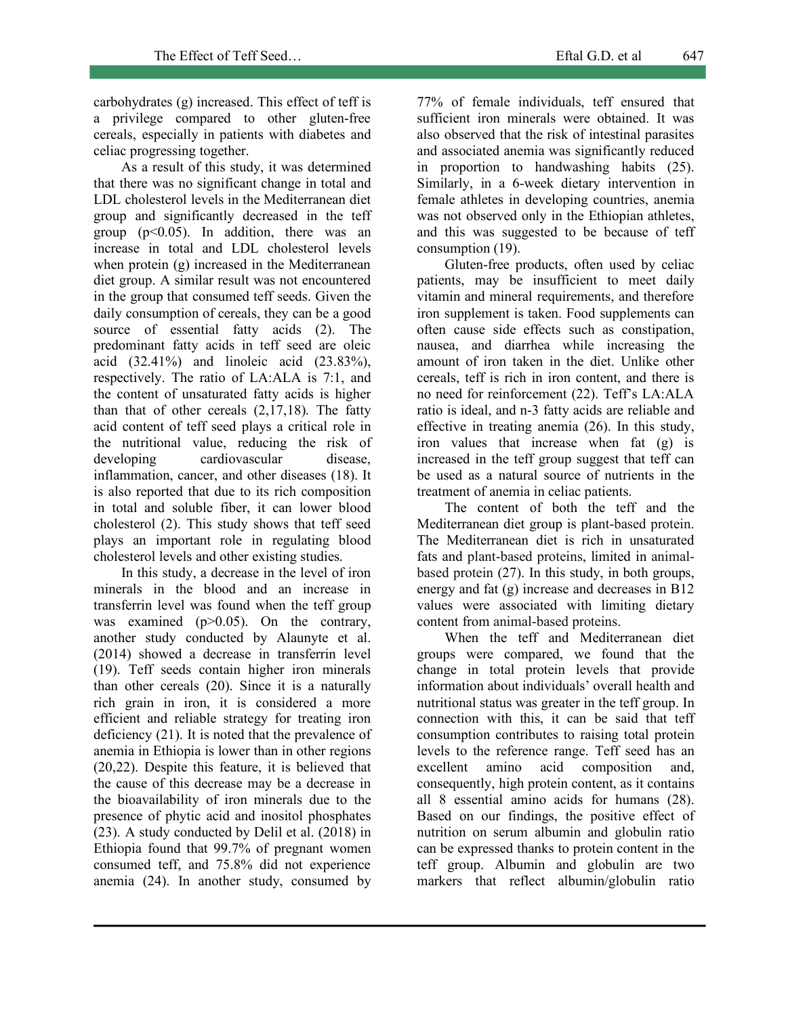carbohydrates (g) increased. This effect of teff is a privilege compared to other gluten-free cereals, especially in patients with diabetes and celiac progressing together.

As a result of this study, it was determined that there was no significant change in total and LDL cholesterol levels in the Mediterranean diet group and significantly decreased in the teff group  $(p<0.05)$ . In addition, there was an increase in total and LDL cholesterol levels when protein (g) increased in the Mediterranean diet group. A similar result was not encountered in the group that consumed teff seeds. Given the daily consumption of cereals, they can be a good source of essential fatty acids (2). The predominant fatty acids in teff seed are oleic acid (32.41%) and linoleic acid (23.83%), respectively. The ratio of LA:ALA is 7:1, and the content of unsaturated fatty acids is higher than that of other cereals (2,17,18). The fatty acid content of teff seed plays a critical role in the nutritional value, reducing the risk of developing cardiovascular disease, inflammation, cancer, and other diseases (18). It is also reported that due to its rich composition in total and soluble fiber, it can lower blood cholesterol (2). This study shows that teff seed plays an important role in regulating blood cholesterol levels and other existing studies.

In this study, a decrease in the level of iron minerals in the blood and an increase in transferrin level was found when the teff group was examined (p>0.05). On the contrary, another study conducted by Alaunyte et al. (2014) showed a decrease in transferrin level (19). Teff seeds contain higher iron minerals than other cereals (20). Since it is a naturally rich grain in iron, it is considered a more efficient and reliable strategy for treating iron deficiency (21). It is noted that the prevalence of anemia in Ethiopia is lower than in other regions (20,22). Despite this feature, it is believed that the cause of this decrease may be a decrease in the bioavailability of iron minerals due to the presence of phytic acid and inositol phosphates (23). A study conducted by Delil et al. (2018) in Ethiopia found that 99.7% of pregnant women consumed teff, and 75.8% did not experience anemia (24). In another study, consumed by 77% of female individuals, teff ensured that sufficient iron minerals were obtained. It was also observed that the risk of intestinal parasites and associated anemia was significantly reduced in proportion to handwashing habits (25). Similarly, in a 6-week dietary intervention in female athletes in developing countries, anemia was not observed only in the Ethiopian athletes, and this was suggested to be because of teff consumption (19).

Gluten-free products, often used by celiac patients, may be insufficient to meet daily vitamin and mineral requirements, and therefore iron supplement is taken. Food supplements can often cause side effects such as constipation, nausea, and diarrhea while increasing the amount of iron taken in the diet. Unlike other cereals, teff is rich in iron content, and there is no need for reinforcement (22). Teff's LA:ALA ratio is ideal, and n-3 fatty acids are reliable and effective in treating anemia (26). In this study, iron values that increase when fat (g) is increased in the teff group suggest that teff can be used as a natural source of nutrients in the treatment of anemia in celiac patients.

The content of both the teff and the Mediterranean diet group is plant-based protein. The Mediterranean diet is rich in unsaturated fats and plant-based proteins, limited in animalbased protein (27). In this study, in both groups, energy and fat (g) increase and decreases in B12 values were associated with limiting dietary content from animal-based proteins.

When the teff and Mediterranean diet groups were compared, we found that the change in total protein levels that provide information about individuals' overall health and nutritional status was greater in the teff group. In connection with this, it can be said that teff consumption contributes to raising total protein levels to the reference range. Teff seed has an excellent amino acid composition and, consequently, high protein content, as it contains all 8 essential amino acids for humans (28). Based on our findings, the positive effect of nutrition on serum albumin and globulin ratio can be expressed thanks to protein content in the teff group. Albumin and globulin are two markers that reflect albumin/globulin ratio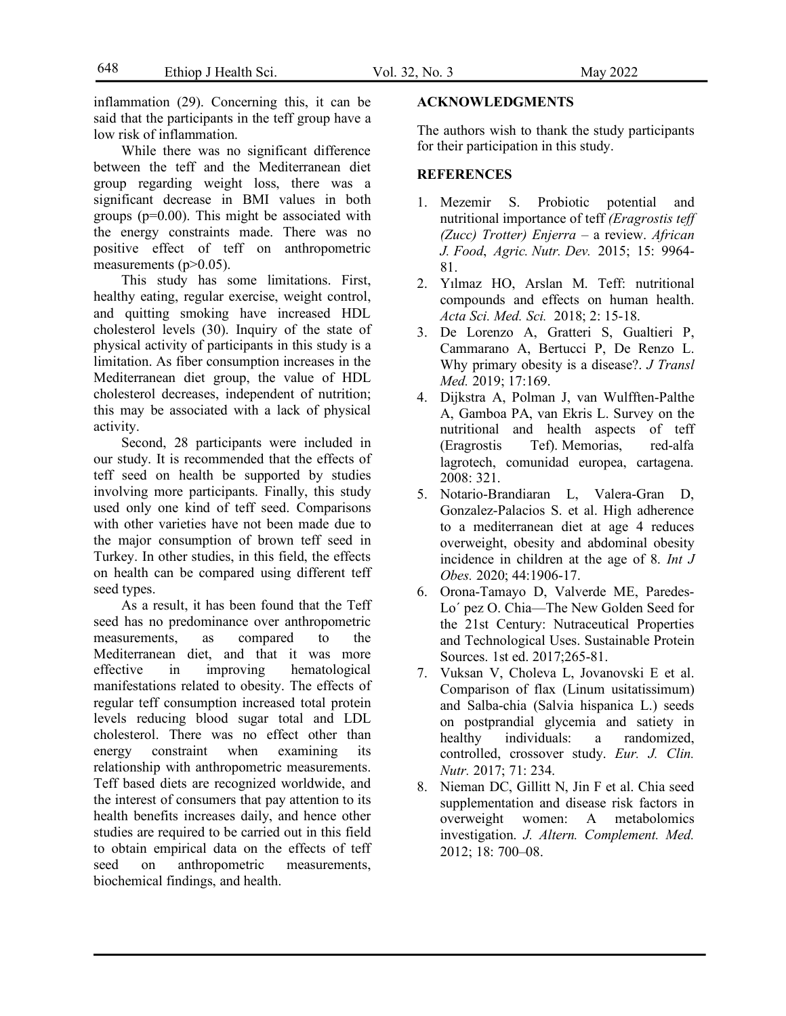inflammation (29). Concerning this, it can be said that the participants in the teff group have a low risk of inflammation.

While there was no significant difference between the teff and the Mediterranean diet group regarding weight loss, there was a significant decrease in BMI values in both groups (p=0.00). This might be associated with the energy constraints made. There was no positive effect of teff on anthropometric measurements  $(p>0.05)$ .

This study has some limitations. First, healthy eating, regular exercise, weight control, and quitting smoking have increased HDL cholesterol levels (30). Inquiry of the state of physical activity of participants in this study is a limitation. As fiber consumption increases in the Mediterranean diet group, the value of HDL cholesterol decreases, independent of nutrition; this may be associated with a lack of physical activity.

Second, 28 participants were included in our study. It is recommended that the effects of teff seed on health be supported by studies involving more participants. Finally, this study used only one kind of teff seed. Comparisons with other varieties have not been made due to the major consumption of brown teff seed in Turkey. In other studies, in this field, the effects on health can be compared using different teff seed types.

As a result, it has been found that the Teff seed has no predominance over anthropometric measurements, as compared to the Mediterranean diet, and that it was more effective in improving hematological manifestations related to obesity. The effects of regular teff consumption increased total protein levels reducing blood sugar total and LDL cholesterol. There was no effect other than energy constraint when examining its relationship with anthropometric measurements. Teff based diets are recognized worldwide, and the interest of consumers that pay attention to its health benefits increases daily, and hence other studies are required to be carried out in this field to obtain empirical data on the effects of teff seed on anthropometric measurements, biochemical findings, and health.

#### **ACKNOWLEDGMENTS**

The authors wish to thank the study participants for their participation in this study.

#### **REFERENCES**

- 1. Mezemir S. Probiotic potential and nutritional importance of teff *(Eragrostis teff (Zucc) Trotter) Enjerra* – a review. *African J. Food*, *Agric. Nutr. Dev.* 2015; 15: 9964- 81.
- 2. Yılmaz HO, Arslan M. Teff: nutritional compounds and effects on human health. *Acta Sci. Med. Sci.* 2018; 2: 15-18.
- 3. De Lorenzo A, Gratteri S, Gualtieri P, Cammarano A, Bertucci P, De Renzo L. Why primary obesity is a disease?. *J Transl Med.* 2019; 17:169.
- 4. Dijkstra A, Polman J, van Wulfften-Palthe A, Gamboa PA, van Ekris L. Survey on the nutritional and health aspects of teff (Eragrostis Tef). Memorias, red-alfa lagrotech, comunidad europea, cartagena. 2008: 321.
- 5. Notario-Brandiaran L, Valera-Gran D, Gonzalez-Palacios S. et al. High adherence to a mediterranean diet at age 4 reduces overweight, obesity and abdominal obesity incidence in children at the age of 8. *Int J Obes.* 2020; 44:1906-17.
- 6. Orona-Tamayo D, Valverde ME, Paredes-Lo´ pez O. Chia—The New Golden Seed for the 21st Century: Nutraceutical Properties and Technological Uses. Sustainable Protein Sources. 1st ed. 2017;265-81.
- 7. Vuksan V, Choleva L, Jovanovski E et al. Comparison of flax (Linum usitatissimum) and Salba-chia (Salvia hispanica L.) seeds on postprandial glycemia and satiety in healthy individuals: a randomized, controlled, crossover study. *Eur. J. Clin. Nutr.* 2017; 71: 234.
- 8. Nieman DC, Gillitt N, Jin F et al. Chia seed supplementation and disease risk factors in overweight women: A metabolomics investigation. *J. Altern. Complement. Med.* 2012; 18: 700–08.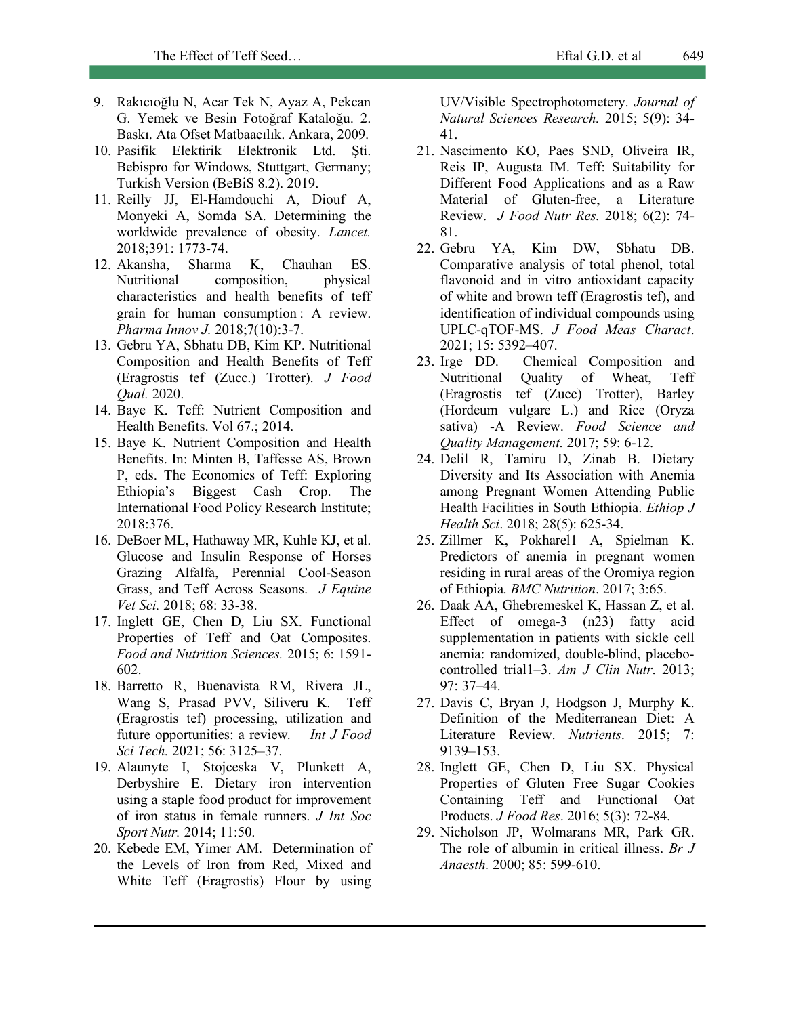- 9. Rakıcıoğlu N, Acar Tek N, Ayaz A, Pekcan G. Yemek ve Besin Fotoğraf Kataloğu. 2. Baskı. Ata Ofset Matbaacılık. Ankara, 2009.
- 10. Pasifik Elektirik Elektronik Ltd. Şti. Bebispro for Windows, Stuttgart, Germany; Turkish Version (BeBiS 8.2). 2019.
- 11. Reilly JJ, El-Hamdouchi A, Diouf A, Monyeki A, Somda SA. Determining the worldwide prevalence of obesity. *Lancet.*  2018;391: 1773-74.
- 12. Akansha, Sharma K, Chauhan ES. Nutritional composition, physical characteristics and health benefits of teff grain for human consumption : A review. *Pharma Innov J.* 2018;7(10):3-7.
- 13. Gebru YA, Sbhatu DB, Kim KP. Nutritional Composition and Health Benefits of Teff (Eragrostis tef (Zucc.) Trotter). *J Food Qual.* 2020.
- 14. Baye K. Teff: Nutrient Composition and Health Benefits. Vol 67.; 2014.
- 15. Baye K. Nutrient Composition and Health Benefits. In: Minten B, Taffesse AS, Brown P, eds. The Economics of Teff: Exploring Ethiopia's Biggest Cash Crop. The International Food Policy Research Institute; 2018:376.
- 16. DeBoer ML, Hathaway MR, Kuhle KJ, et al. Glucose and Insulin Response of Horses Grazing Alfalfa, Perennial Cool-Season Grass, and Teff Across Seasons. *J Equine Vet Sci.* 2018; 68: 33-38.
- 17. Inglett GE, Chen D, Liu SX. Functional Properties of Teff and Oat Composites. *Food and Nutrition Sciences.* 2015; 6: 1591- 602.
- 18. Barretto R, Buenavista RM, Rivera JL, Wang S, Prasad PVV, Siliveru K. Teff (Eragrostis tef) processing, utilization and future opportunities: a review*. Int J Food Sci Tech.* 2021; 56: 3125–37.
- 19. Alaunyte I, Stojceska V, Plunkett A, Derbyshire E. Dietary iron intervention using a staple food product for improvement of iron status in female runners. *J Int Soc Sport Nutr.* 2014; 11:50.
- 20. Kebede EM, Yimer AM. Determination of the Levels of Iron from Red, Mixed and White Teff (Eragrostis) Flour by using

UV/Visible Spectrophotometery. *Journal of Natural Sciences Research.* 2015; 5(9): 34- 41.

- 21. Nascimento KO, Paes SND, Oliveira IR, Reis IP, Augusta IM. Teff: Suitability for Different Food Applications and as a Raw Material of Gluten-free, a Literature Review. *J Food Nutr Res.* 2018; 6(2): 74- 81.
- 22. Gebru YA, Kim DW, Sbhatu DB. Comparative analysis of total phenol, total flavonoid and in vitro antioxidant capacity of white and brown teff (Eragrostis tef), and identification of individual compounds using UPLC-qTOF-MS. *J Food Meas Charact*. 2021; 15: 5392–407.
- 23. Irge DD. Chemical Composition and Nutritional Quality of Wheat, Teff (Eragrostis tef (Zucc) Trotter), Barley (Hordeum vulgare L.) and Rice (Oryza sativa) -A Review. *Food Science and Quality Management.* 2017; 59: 6-12.
- 24. Delil R, Tamiru D, Zinab B. Dietary Diversity and Its Association with Anemia among Pregnant Women Attending Public Health Facilities in South Ethiopia. *Ethiop J Health Sci*. 2018; 28(5): 625-34.
- 25. Zillmer K, Pokharel1 A, Spielman K. Predictors of anemia in pregnant women residing in rural areas of the Oromiya region of Ethiopia. *BMC Nutrition*. 2017; 3:65.
- 26. Daak AA, Ghebremeskel K, Hassan Z, et al. Effect of omega-3 (n23) fatty acid supplementation in patients with sickle cell anemia: randomized, double-blind, placebocontrolled trial1–3. *Am J Clin Nutr*. 2013; 97: 37–44.
- 27. Davis C, Bryan J, Hodgson J, Murphy K. Definition of the Mediterranean Diet: A Literature Review. *Nutrients*. 2015; 7: 9139–153.
- 28. Inglett GE, Chen D, Liu SX. Physical Properties of Gluten Free Sugar Cookies Containing Teff and Functional Oat Products. *J Food Res*. 2016; 5(3): 72-84.
- 29. Nicholson JP, Wolmarans MR, Park GR. The role of albumin in critical illness. *Br J Anaesth.* 2000; 85: 599-610.